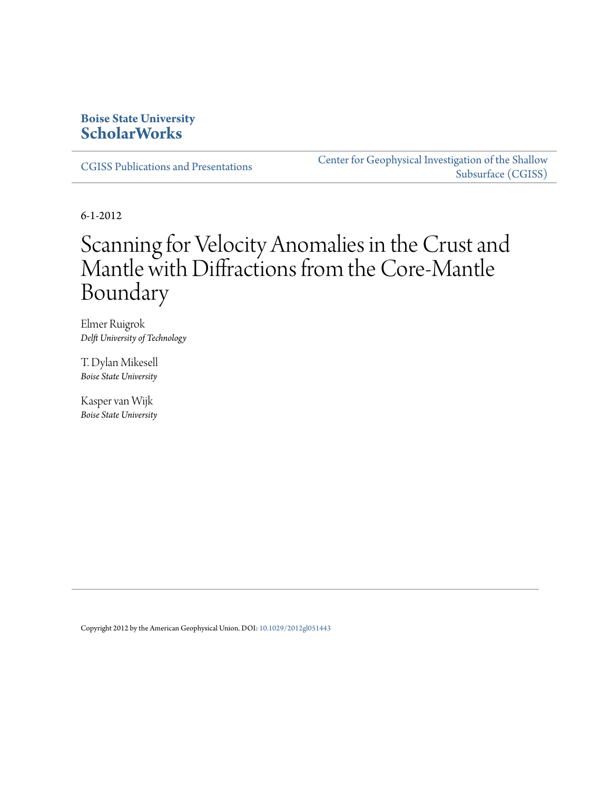# **Boise State University [ScholarWorks](https://scholarworks.boisestate.edu)**

[CGISS Publications and Presentations](https://scholarworks.boisestate.edu/cgiss_facpubs)

[Center for Geophysical Investigation of the Shallow](https://scholarworks.boisestate.edu/cgiss) [Subsurface \(CGISS\)](https://scholarworks.boisestate.edu/cgiss)

6-1-2012

# Scanning for Velocity Anomalies in the Crust and Mantle with Diffractions from the Core-Mantle Boundary

Elmer Ruigrok *Delft University of Technology*

T. Dylan Mikesell *Boise State University*

Kasper van Wijk *Boise State University*

Copyright 2012 by the American Geophysical Union. DOI: [10.1029/2012gl051443](http://dx.doi.org/10.1029/2012gl051443)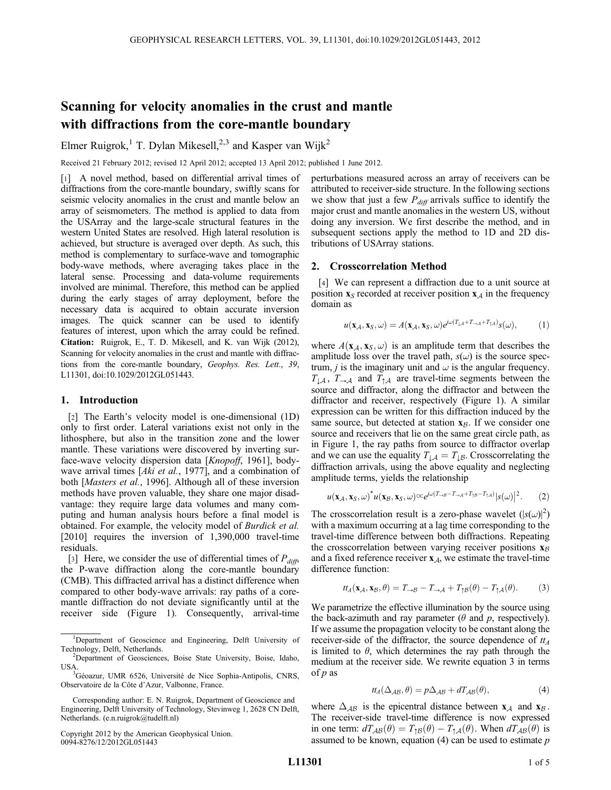## Scanning for velocity anomalies in the crust and mantle with diffractions from the core-mantle boundary

Elmer Ruigrok,<sup>1</sup> T. Dylan Mikesell,<sup>2,3</sup> and Kasper van Wijk<sup>2</sup>

Received 21 February 2012; revised 12 April 2012; accepted 13 April 2012; published 1 June 2012.

[1] A novel method, based on differential arrival times of diffractions from the core-mantle boundary, swiftly scans for seismic velocity anomalies in the crust and mantle below an array of seismometers. The method is applied to data from the USArray and the large-scale structural features in the western United States are resolved. High lateral resolution is achieved, but structure is averaged over depth. As such, this method is complementary to surface-wave and tomographic body-wave methods, where averaging takes place in the lateral sense. Processing and data-volume requirements involved are minimal. Therefore, this method can be applied during the early stages of array deployment, before the necessary data is acquired to obtain accurate inversion images. The quick scanner can be used to identify features of interest, upon which the array could be refined. Citation: Ruigrok, E., T. D. Mikesell, and K. van Wijk (2012), Scanning for velocity anomalies in the crust and mantle with diffractions from the core-mantle boundary, Geophys. Res. Lett., 39, L11301, doi:10.1029/2012GL051443.

## 1. Introduction

[2] The Earth's velocity model is one-dimensional (1D) only to first order. Lateral variations exist not only in the lithosphere, but also in the transition zone and the lower mantle. These variations were discovered by inverting surface-wave velocity dispersion data [Knopoff, 1961], bodywave arrival times [Aki et al., 1977], and a combination of both [Masters et al., 1996]. Although all of these inversion methods have proven valuable, they share one major disadvantage: they require large data volumes and many computing and human analysis hours before a final model is obtained. For example, the velocity model of Burdick et al. [2010] requires the inversion of 1,390,000 travel-time residuals.

[3] Here, we consider the use of differential times of  $P_{diff}$ , the P-wave diffraction along the core-mantle boundary (CMB). This diffracted arrival has a distinct difference when compared to other body-wave arrivals: ray paths of a coremantle diffraction do not deviate significantly until at the receiver side (Figure 1). Consequently, arrival-time

Copyright 2012 by the American Geophysical Union. 0094-8276/12/2012GL051443

perturbations measured across an array of receivers can be attributed to receiver-side structure. In the following sections we show that just a few  $P_{diff}$  arrivals suffice to identify the major crust and mantle anomalies in the western US, without doing any inversion. We first describe the method, and in subsequent sections apply the method to 1D and 2D distributions of USArray stations.

#### 2. Crosscorrelation Method

[4] We can represent a diffraction due to a unit source at position  $x_S$  recorded at receiver position  $x_A$  in the frequency domain as

$$
u(\mathbf{x}_{\mathcal{A}}, \mathbf{x}_{\mathcal{S}}, \omega) = A(\mathbf{x}_{\mathcal{A}}, \mathbf{x}_{\mathcal{S}}, \omega) e^{j\omega (T_{\downarrow \mathcal{A}} + T_{\neg \mathcal{A}} + T_{\uparrow \mathcal{A}})} s(\omega), \tag{1}
$$

where  $A(\mathbf{x}_A, \mathbf{x}_S, \omega)$  is an amplitude term that describes the amplitude loss over the travel path,  $s(\omega)$  is the source spectrum, *j* is the imaginary unit and  $\omega$  is the angular frequency.  $T_{\downarrow A}$ ,  $T_{\rightarrow A}$  and  $T_{\uparrow A}$  are travel-time segments between the source and diffractor, along the diffractor and between the diffractor and receiver, respectively (Figure 1). A similar expression can be written for this diffraction induced by the same source, but detected at station  $x_{\beta}$ . If we consider one source and receivers that lie on the same great circle path, as in Figure 1, the ray paths from source to diffractor overlap and we can use the equality  $T_{\downarrow A} = T_{\downarrow B}$ . Crosscorrelating the diffraction arrivals, using the above equality and neglecting amplitude terms, yields the relationship

$$
u(\mathbf{x}_{\mathcal{A}}, \mathbf{x}_{\mathcal{S}}, \omega)^* u(\mathbf{x}_{\mathcal{B}}, \mathbf{x}_{\mathcal{S}}, \omega) \propto e^{j\omega (T_{\rightarrow \mathcal{B}} - T_{\rightarrow \mathcal{A}} + T_{\uparrow \mathcal{B}} - T_{\uparrow \mathcal{A}})} |s(\omega)|^2.
$$
 (2)

The crosscorrelation result is a zero-phase wavelet  $(|s(\omega)|^2)$ with a maximum occurring at a lag time corresponding to the travel-time difference between both diffractions. Repeating the crosscorrelation between varying receiver positions  $x_B$ and a fixed reference receiver  $x_A$ , we estimate the travel-time difference function:

$$
tt_A(\mathbf{x}_A,\mathbf{x}_B,\theta)=T_{\rightarrow B}-T_{\rightarrow A}+T_{\uparrow B}(\theta)-T_{\uparrow A}(\theta). \hspace{1cm} (3)
$$

We parametrize the effective illumination by the source using the back-azimuth and ray parameter ( $\theta$  and  $p$ , respectively). If we assume the propagation velocity to be constant along the receiver-side of the diffractor, the source dependence of  $t_A$ is limited to  $\theta$ , which determines the ray path through the medium at the receiver side. We rewrite equation 3 in terms of  $p$  as

$$
tt_A(\Delta_{AB}, \theta) = p\Delta_{AB} + dT_{AB}(\theta), \qquad (4)
$$

where  $\Delta_{AB}$  is the epicentral distance between  $x_A$  and  $x_B$ . The receiver-side travel-time difference is now expressed in one term:  $dT_{AB}(\theta) = T_{\uparrow B}(\theta) - T_{\uparrow A}(\theta)$ . When  $dT_{AB}(\theta)$  is assumed to be known, equation  $(4)$  can be used to estimate  $p$ 

<sup>&</sup>lt;sup>1</sup>Department of Geoscience and Engineering, Delft University of Technology, Delft, Netherlands. <sup>2</sup>

<sup>&</sup>lt;sup>2</sup>Department of Geosciences, Boise State University, Boise, Idaho, USA.

<sup>&</sup>lt;sup>3</sup>Géoazur, UMR 6526, Université de Nice Sophia-Antipolis, CNRS, Observatoire de la Côte d'Azur, Valbonne, France.

Corresponding author: E. N. Ruigrok, Department of Geoscience and Engineering, Delft University of Technology, Stevinweg 1, 2628 CN Delft, Netherlands. (e.n.ruigrok@tudelft.nl)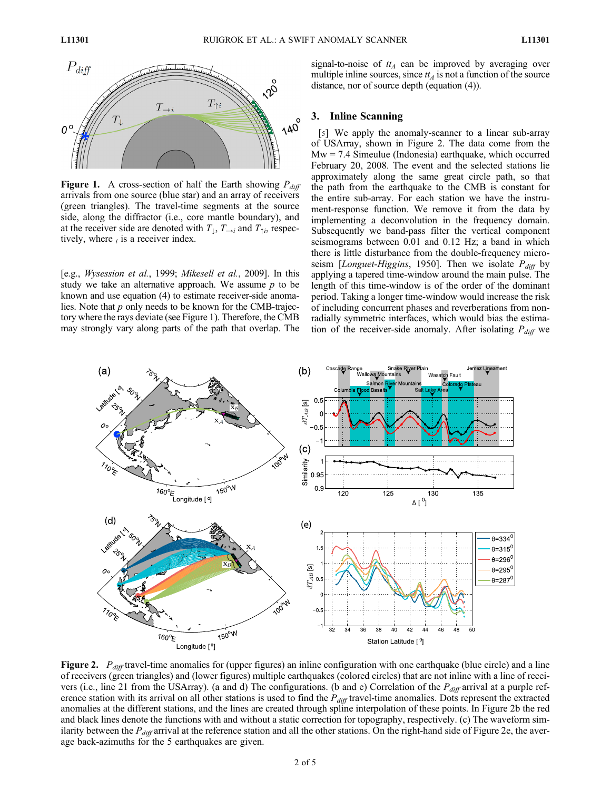

Figure 1. A cross-section of half the Earth showing  $P_{diff}$ arrivals from one source (blue star) and an array of receivers (green triangles). The travel-time segments at the source side, along the diffractor (i.e., core mantle boundary), and at the receiver side are denoted with  $T_1, T_{\rightarrow i}$  and  $T_{\uparrow i}$ , respectively, where  $_i$  is a receiver index.

[e.g., Wysession et al., 1999; Mikesell et al., 2009]. In this study we take an alternative approach. We assume  $p$  to be known and use equation (4) to estimate receiver-side anomalies. Note that  $p$  only needs to be known for the CMB-trajectory where the rays deviate (see Figure 1). Therefore, the CMB may strongly vary along parts of the path that overlap. The signal-to-noise of  $tt_A$  can be improved by averaging over multiple inline sources, since  $t_A$  is not a function of the source distance, nor of source depth (equation (4)).

### 3. Inline Scanning

[5] We apply the anomaly-scanner to a linear sub-array of USArray, shown in Figure 2. The data come from the  $Mw = 7.4$  Simeulue (Indonesia) earthquake, which occurred February 20, 2008. The event and the selected stations lie approximately along the same great circle path, so that the path from the earthquake to the CMB is constant for the entire sub-array. For each station we have the instrument-response function. We remove it from the data by implementing a deconvolution in the frequency domain. Subsequently we band-pass filter the vertical component seismograms between 0.01 and 0.12 Hz; a band in which there is little disturbance from the double-frequency microseism [Longuet-Higgins, 1950]. Then we isolate  $P_{diff}$  by applying a tapered time-window around the main pulse. The length of this time-window is of the order of the dominant period. Taking a longer time-window would increase the risk of including concurrent phases and reverberations from nonradially symmetric interfaces, which would bias the estimation of the receiver-side anomaly. After isolating  $P_{diff}$  we



**Figure 2.**  $P_{diff}$  travel-time anomalies for (upper figures) an inline configuration with one earthquake (blue circle) and a line of receivers (green triangles) and (lower figures) multiple earthquakes (colored circles) that are not inline with a line of receivers (i.e., line 21 from the USArray). (a and d) The configurations. (b and e) Correlation of the  $P_{diff}$  arrival at a purple reference station with its arrival on all other stations is used to find the  $P_{diff}$  travel-time anomalies. Dots represent the extracted anomalies at the different stations, and the lines are created through spline interpolation of these points. In Figure 2b the red and black lines denote the functions with and without a static correction for topography, respectively. (c) The waveform similarity between the  $P_{diff}$  arrival at the reference station and all the other stations. On the right-hand side of Figure 2e, the average back-azimuths for the 5 earthquakes are given.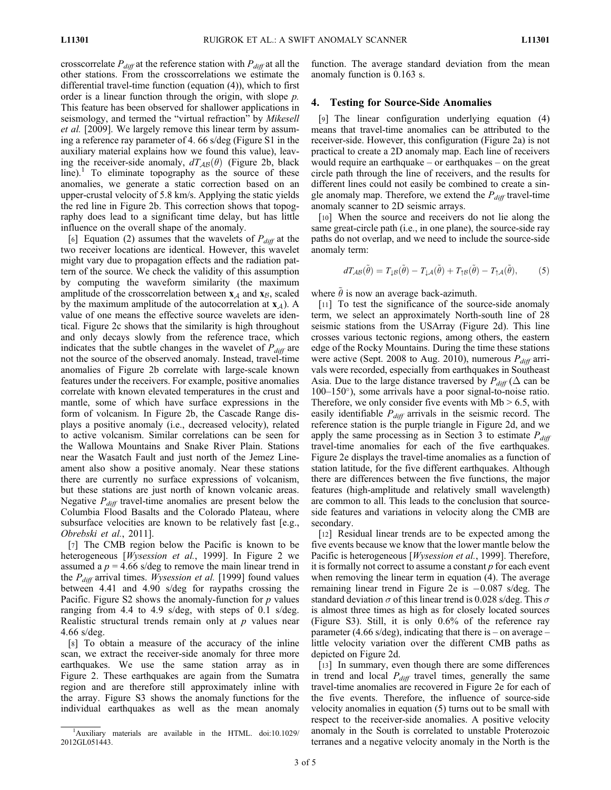crosscorrelate  $P_{diff}$  at the reference station with  $P_{diff}$  at all the other stations. From the crosscorrelations we estimate the differential travel-time function (equation (4)), which to first order is a linear function through the origin, with slope p. This feature has been observed for shallower applications in seismology, and termed the "virtual refraction" by Mikesell et al. [2009]. We largely remove this linear term by assuming a reference ray parameter of 4. 66 s/deg (Figure S1 in the auxiliary material explains how we found this value), leaving the receiver-side anomaly,  $dT_{AB}(\theta)$  (Figure 2b, black line).<sup>1</sup> To eliminate topography as the source of these anomalies, we generate a static correction based on an upper-crustal velocity of 5.8 km/s. Applying the static yields the red line in Figure 2b. This correction shows that topography does lead to a significant time delay, but has little influence on the overall shape of the anomaly.

[6] Equation (2) assumes that the wavelets of  $P_{diff}$  at the two receiver locations are identical. However, this wavelet might vary due to propagation effects and the radiation pattern of the source. We check the validity of this assumption by computing the waveform similarity (the maximum amplitude of the crosscorrelation between  $x_A$  and  $x_B$ , scaled by the maximum amplitude of the autocorrelation at  $x_A$ ). A value of one means the effective source wavelets are identical. Figure 2c shows that the similarity is high throughout and only decays slowly from the reference trace, which indicates that the subtle changes in the wavelet of  $P_{diff}$  are not the source of the observed anomaly. Instead, travel-time anomalies of Figure 2b correlate with large-scale known features under the receivers. For example, positive anomalies correlate with known elevated temperatures in the crust and mantle, some of which have surface expressions in the form of volcanism. In Figure 2b, the Cascade Range displays a positive anomaly (i.e., decreased velocity), related to active volcanism. Similar correlations can be seen for the Wallowa Mountains and Snake River Plain. Stations near the Wasatch Fault and just north of the Jemez Lineament also show a positive anomaly. Near these stations there are currently no surface expressions of volcanism, but these stations are just north of known volcanic areas. Negative  $P_{diff}$  travel-time anomalies are present below the Columbia Flood Basalts and the Colorado Plateau, where subsurface velocities are known to be relatively fast [e.g., Obrebski et al., 2011].

[7] The CMB region below the Pacific is known to be heterogeneous [*Wysession et al.*, 1999]. In Figure 2 we assumed a  $p = 4.66$  s/deg to remove the main linear trend in the  $P_{diff}$  arrival times. *Wysession et al.* [1999] found values between 4.41 and 4.90 s/deg for raypaths crossing the Pacific. Figure S2 shows the anomaly-function for  $p$  values ranging from 4.4 to 4.9 s/deg, with steps of 0.1 s/deg. Realistic structural trends remain only at  $p$  values near 4.66 s/deg.

[8] To obtain a measure of the accuracy of the inline scan, we extract the receiver-side anomaly for three more earthquakes. We use the same station array as in Figure 2. These earthquakes are again from the Sumatra region and are therefore still approximately inline with the array. Figure S3 shows the anomaly functions for the individual earthquakes as well as the mean anomaly

function. The average standard deviation from the mean anomaly function is 0.163 s.

#### 4. Testing for Source-Side Anomalies

[9] The linear configuration underlying equation (4) means that travel-time anomalies can be attributed to the receiver-side. However, this configuration (Figure 2a) is not practical to create a 2D anomaly map. Each line of receivers would require an earthquake – or earthquakes – on the great circle path through the line of receivers, and the results for different lines could not easily be combined to create a single anomaly map. Therefore, we extend the  $P_{diff}$  travel-time anomaly scanner to 2D seismic arrays.

[10] When the source and receivers do not lie along the same great-circle path (i.e., in one plane), the source-side ray paths do not overlap, and we need to include the source-side anomaly term:

$$
dT_{AB}(\tilde{\theta}) = T_{\downarrow B}(\tilde{\theta}) - T_{\downarrow A}(\tilde{\theta}) + T_{\uparrow B}(\tilde{\theta}) - T_{\uparrow A}(\tilde{\theta}), \tag{5}
$$

where  $\theta$  is now an average back-azimuth.

[11] To test the significance of the source-side anomaly term, we select an approximately North-south line of 28 seismic stations from the USArray (Figure 2d). This line crosses various tectonic regions, among others, the eastern edge of the Rocky Mountains. During the time these stations were active (Sept. 2008 to Aug. 2010), numerous  $P_{diff}$  arrivals were recorded, especially from earthquakes in Southeast Asia. Due to the large distance traversed by  $P_{diff}$  ( $\Delta$  can be  $100-150^{\circ}$ ), some arrivals have a poor signal-to-noise ratio. Therefore, we only consider five events with  $Mb > 6.5$ , with easily identifiable  $P_{diff}$  arrivals in the seismic record. The reference station is the purple triangle in Figure 2d, and we apply the same processing as in Section 3 to estimate  $P_{diff}$ travel-time anomalies for each of the five earthquakes. Figure 2e displays the travel-time anomalies as a function of station latitude, for the five different earthquakes. Although there are differences between the five functions, the major features (high-amplitude and relatively small wavelength) are common to all. This leads to the conclusion that sourceside features and variations in velocity along the CMB are secondary.

[12] Residual linear trends are to be expected among the five events because we know that the lower mantle below the Pacific is heterogeneous [*Wysession et al.*, 1999]. Therefore, it is formally not correct to assume a constant  $p$  for each event when removing the linear term in equation (4). The average remaining linear trend in Figure 2e is  $-0.087$  s/deg. The standard deviation  $\sigma$  of this linear trend is 0.028 s/deg. This  $\sigma$ is almost three times as high as for closely located sources (Figure S3). Still, it is only 0.6% of the reference ray parameter (4.66 s/deg), indicating that there is – on average – little velocity variation over the different CMB paths as depicted on Figure 2d.

[13] In summary, even though there are some differences in trend and local  $P_{diff}$  travel times, generally the same travel-time anomalies are recovered in Figure 2e for each of the five events. Therefore, the influence of source-side velocity anomalies in equation (5) turns out to be small with respect to the receiver-side anomalies. A positive velocity anomaly in the South is correlated to unstable Proterozoic terranes and a negative velocity anomaly in the North is the

<sup>&</sup>lt;sup>1</sup>Auxiliary materials are available in the HTML. doi:10.1029/ 2012GL051443.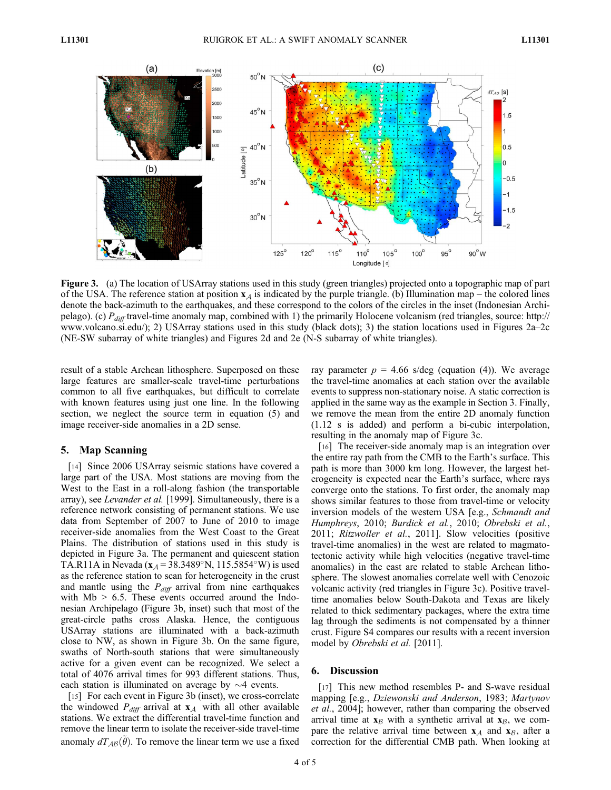

Figure 3. (a) The location of USArray stations used in this study (green triangles) projected onto a topographic map of part of the USA. The reference station at position  $x<sub>A</sub>$  is indicated by the purple triangle. (b) Illumination map – the colored lines denote the back-azimuth to the earthquakes, and these correspond to the colors of the circles in the inset (Indonesian Archipelago). (c)  $P_{diff}$  travel-time anomaly map, combined with 1) the primarily Holocene volcanism (red triangles, source: http:// www.volcano.si.edu/); 2) USArray stations used in this study (black dots); 3) the station locations used in Figures 2a–2c (NE-SW subarray of white triangles) and Figures 2d and 2e (N-S subarray of white triangles).

result of a stable Archean lithosphere. Superposed on these large features are smaller-scale travel-time perturbations common to all five earthquakes, but difficult to correlate with known features using just one line. In the following section, we neglect the source term in equation (5) and image receiver-side anomalies in a 2D sense.

## 5. Map Scanning

[14] Since 2006 USArray seismic stations have covered a large part of the USA. Most stations are moving from the West to the East in a roll-along fashion (the transportable array), see Levander et al. [1999]. Simultaneously, there is a reference network consisting of permanent stations. We use data from September of 2007 to June of 2010 to image receiver-side anomalies from the West Coast to the Great Plains. The distribution of stations used in this study is depicted in Figure 3a. The permanent and quiescent station TA.R11A in Nevada ( $x_A$  = 38.3489°N, 115.5854°W) is used as the reference station to scan for heterogeneity in the crust and mantle using the  $P_{diff}$  arrival from nine earthquakes with  $Mb > 6.5$ . These events occurred around the Indonesian Archipelago (Figure 3b, inset) such that most of the great-circle paths cross Alaska. Hence, the contiguous USArray stations are illuminated with a back-azimuth close to NW, as shown in Figure 3b. On the same figure, swaths of North-south stations that were simultaneously active for a given event can be recognized. We select a total of 4076 arrival times for 993 different stations. Thus, each station is illuminated on average by  $\sim$ 4 events.

[15] For each event in Figure 3b (inset), we cross-correlate the windowed  $P_{diff}$  arrival at  $\mathbf{x}_A$  with all other available stations. We extract the differential travel-time function and remove the linear term to isolate the receiver-side travel-time anomaly  $dT_{AB}(\theta)$ . To remove the linear term we use a fixed ray parameter  $p = 4.66$  s/deg (equation (4)). We average the travel-time anomalies at each station over the available events to suppress non-stationary noise. A static correction is applied in the same way as the example in Section 3. Finally, we remove the mean from the entire 2D anomaly function (1.12 s is added) and perform a bi-cubic interpolation, resulting in the anomaly map of Figure 3c.

[16] The receiver-side anomaly map is an integration over the entire ray path from the CMB to the Earth's surface. This path is more than 3000 km long. However, the largest heterogeneity is expected near the Earth's surface, where rays converge onto the stations. To first order, the anomaly map shows similar features to those from travel-time or velocity inversion models of the western USA [e.g., Schmandt and Humphreys, 2010; Burdick et al., 2010; Obrebski et al., 2011; Ritzwoller et al., 2011]. Slow velocities (positive travel-time anomalies) in the west are related to magmatotectonic activity while high velocities (negative travel-time anomalies) in the east are related to stable Archean lithosphere. The slowest anomalies correlate well with Cenozoic volcanic activity (red triangles in Figure 3c). Positive traveltime anomalies below South-Dakota and Texas are likely related to thick sedimentary packages, where the extra time lag through the sediments is not compensated by a thinner crust. Figure S4 compares our results with a recent inversion model by Obrebski et al. [2011].

#### 6. Discussion

[17] This new method resembles P- and S-wave residual mapping [e.g., Dziewonski and Anderson, 1983; Martynov et al., 2004]; however, rather than comparing the observed arrival time at  $x_B$  with a synthetic arrival at  $x_B$ , we compare the relative arrival time between  $x_A$  and  $x_B$ , after a correction for the differential CMB path. When looking at